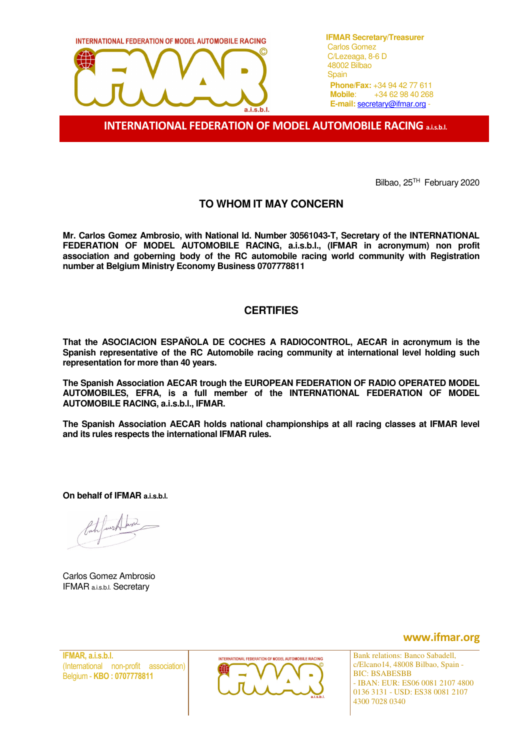

**IFMAR Secretary/Treasurer Phone/Fax:** +34 94 42 77 611 **Mobile**: +34 62 98 40 268 **E-mail:** secretary@ifmar.org -

INTERNATIONAL FEDERATION OF MODEL AUTOMOBILE RACING a.i.s.b.l.

Bilbao, 25TH February 2020

## **TO WHOM IT MAY CONCERN**

**Mr. Carlos Gomez Ambrosio, with National Id. Number 30561043-T, Secretary of the INTERNATIONAL FEDERATION OF MODEL AUTOMOBILE RACING, a.i.s.b.l., (IFMAR in acronymum) non profit association and goberning body of the RC automobile racing world community with Registration number at Belgium Ministry Economy Business 0707778811** 

## **CERTIFIES**

**That the ASOCIACION ESPAÑOLA DE COCHES A RADIOCONTROL, AECAR in acronymum is the Spanish representative of the RC Automobile racing community at international level holding such representation for more than 40 years.** 

**The Spanish Association AECAR trough the EUROPEAN FEDERATION OF RADIO OPERATED MODEL AUTOMOBILES, EFRA, is a full member of the INTERNATIONAL FEDERATION OF MODEL AUTOMOBILE RACING, a.i.s.b.l., IFMAR.** 

**The Spanish Association AECAR holds national championships at all racing classes at IFMAR level and its rules respects the international IFMAR rules.** 

**On behalf of IFMAR a.i.s.b.l.**

Carlos Gomez Ambrosio IFMAR a.i.s.b.l. Secretary

IFMAR, a.i.s.b.l. (International non-profit association) Belgium - KBO : 0707778811



www.ifmar.org

Bank relations: Banco Sabadell, c/Elcano14, 48008 Bilbao, Spain - BIC: BSABESBB - IBAN: EUR: ES06 0081 2107 4800 0136 3131 - USD: ES38 0081 2107 4300 7028 0340